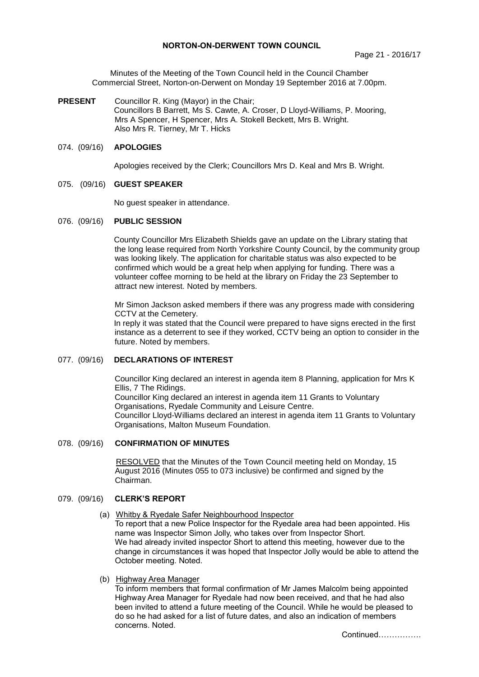Minutes of the Meeting of the Town Council held in the Council Chamber Commercial Street, Norton-on-Derwent on Monday 19 September 2016 at 7.00pm.

**PRESENT** Councillor R. King (Mayor) in the Chair; Councillors B Barrett, Ms S. Cawte, A. Croser, D Lloyd-Williams, P. Mooring, Mrs A Spencer, H Spencer, Mrs A. Stokell Beckett, Mrs B. Wright. Also Mrs R. Tierney, Mr T. Hicks

#### 074. (09/16) **APOLOGIES**

Apologies received by the Clerk; Councillors Mrs D. Keal and Mrs B. Wright.

#### 075. (09/16) **GUEST SPEAKER**

No guest speaker in attendance.

#### 076. (09/16) **PUBLIC SESSION**

 County Councillor Mrs Elizabeth Shields gave an update on the Library stating that the long lease required from North Yorkshire County Council, by the community group was looking likely. The application for charitable status was also expected to be confirmed which would be a great help when applying for funding. There was a volunteer coffee morning to be held at the library on Friday the 23 September to attract new interest. Noted by members.

Mr Simon Jackson asked members if there was any progress made with considering CCTV at the Cemetery.

In reply it was stated that the Council were prepared to have signs erected in the first instance as a deterrent to see if they worked, CCTV being an option to consider in the future. Noted by members.

# 077. (09/16) **DECLARATIONS OF INTEREST**

Councillor King declared an interest in agenda item 8 Planning, application for Mrs K Ellis, 7 The Ridings. Councillor King declared an interest in agenda item 11 Grants to Voluntary Organisations, Ryedale Community and Leisure Centre. Councillor Lloyd-Williams declared an interest in agenda item 11 Grants to Voluntary Organisations, Malton Museum Foundation.

#### 078. (09/16) **CONFIRMATION OF MINUTES**

 RESOLVED that the Minutes of the Town Council meeting held on Monday, 15 August 2016 (Minutes 055 to 073 inclusive) be confirmed and signed by the Chairman.

#### 079. (09/16) **CLERK'S REPORT**

(a) Whitby & Ryedale Safer Neighbourhood Inspector

To report that a new Police Inspector for the Ryedale area had been appointed. His name was Inspector Simon Jolly, who takes over from Inspector Short. We had already invited inspector Short to attend this meeting, however due to the change in circumstances it was hoped that Inspector Jolly would be able to attend the October meeting. Noted.

(b) Highway Area Manager

To inform members that formal confirmation of Mr James Malcolm being appointed Highway Area Manager for Ryedale had now been received, and that he had also been invited to attend a future meeting of the Council. While he would be pleased to do so he had asked for a list of future dates, and also an indication of members concerns. Noted.

Continued…………….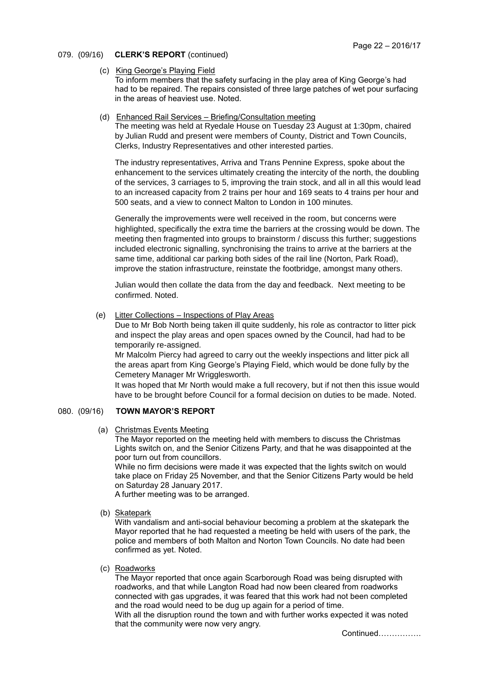# 079. (09/16) **CLERK'S REPORT** (continued)

(c) King George's Playing Field

To inform members that the safety surfacing in the play area of King George's had had to be repaired. The repairs consisted of three large patches of wet pour surfacing in the areas of heaviest use. Noted.

(d) Enhanced Rail Services – Briefing/Consultation meeting

The meeting was held at Ryedale House on Tuesday 23 August at 1:30pm, chaired by Julian Rudd and present were members of County, District and Town Councils, Clerks, Industry Representatives and other interested parties.

The industry representatives, Arriva and Trans Pennine Express, spoke about the enhancement to the services ultimately creating the intercity of the north, the doubling of the services, 3 carriages to 5, improving the train stock, and all in all this would lead to an increased capacity from 2 trains per hour and 169 seats to 4 trains per hour and 500 seats, and a view to connect Malton to London in 100 minutes.

Generally the improvements were well received in the room, but concerns were highlighted, specifically the extra time the barriers at the crossing would be down. The meeting then fragmented into groups to brainstorm / discuss this further; suggestions included electronic signalling, synchronising the trains to arrive at the barriers at the same time, additional car parking both sides of the rail line (Norton, Park Road), improve the station infrastructure, reinstate the footbridge, amongst many others.

Julian would then collate the data from the day and feedback. Next meeting to be confirmed. Noted.

(e) Litter Collections – Inspections of Play Areas

Due to Mr Bob North being taken ill quite suddenly, his role as contractor to litter pick and inspect the play areas and open spaces owned by the Council, had had to be temporarily re-assigned.

Mr Malcolm Piercy had agreed to carry out the weekly inspections and litter pick all the areas apart from King George's Playing Field, which would be done fully by the Cemetery Manager Mr Wrigglesworth.

It was hoped that Mr North would make a full recovery, but if not then this issue would have to be brought before Council for a formal decision on duties to be made. Noted.

# 080. (09/16) **TOWN MAYOR'S REPORT**

(a) Christmas Events Meeting

The Mayor reported on the meeting held with members to discuss the Christmas Lights switch on, and the Senior Citizens Party, and that he was disappointed at the poor turn out from councillors.

While no firm decisions were made it was expected that the lights switch on would take place on Friday 25 November, and that the Senior Citizens Party would be held on Saturday 28 January 2017.

A further meeting was to be arranged.

(b) Skatepark

With vandalism and anti-social behaviour becoming a problem at the skatepark the Mayor reported that he had requested a meeting be held with users of the park, the police and members of both Malton and Norton Town Councils. No date had been confirmed as yet. Noted.

(c) Roadworks

The Mayor reported that once again Scarborough Road was being disrupted with roadworks, and that while Langton Road had now been cleared from roadworks connected with gas upgrades, it was feared that this work had not been completed and the road would need to be dug up again for a period of time.

With all the disruption round the town and with further works expected it was noted that the community were now very angry.

Continued…………….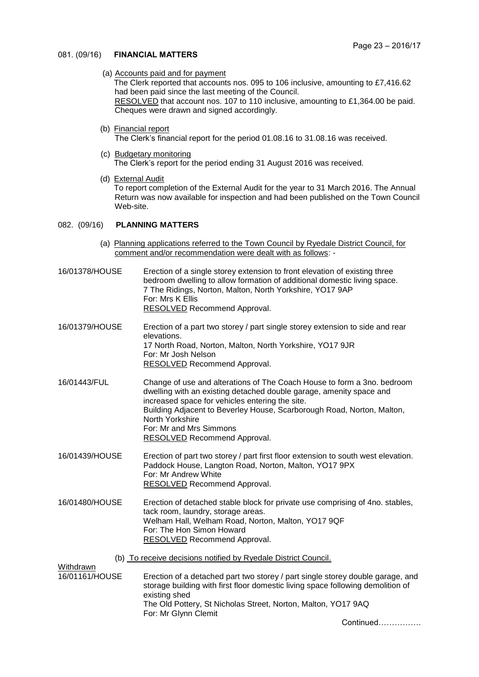#### 081. (09/16) **FINANCIAL MATTERS**

(a) Accounts paid and for payment

The Clerk reported that accounts nos. 095 to 106 inclusive, amounting to £7,416.62 had been paid since the last meeting of the Council. RESOLVED that account nos. 107 to 110 inclusive, amounting to £1,364.00 be paid. Cheques were drawn and signed accordingly.

- (b) Financial report The Clerk's financial report for the period 01.08.16 to 31.08.16 was received.
- (c) Budgetary monitoring The Clerk's report for the period ending 31 August 2016 was received.
- (d) External Audit To report completion of the External Audit for the year to 31 March 2016. The Annual Return was now available for inspection and had been published on the Town Council Web-site.

# 082. (09/16) **PLANNING MATTERS**

(a) Planning applications referred to the Town Council by Ryedale District Council, for comment and/or recommendation were dealt with as follows: -

| 16/01378/HOUSE              | Erection of a single storey extension to front elevation of existing three<br>bedroom dwelling to allow formation of additional domestic living space.<br>7 The Ridings, Norton, Malton, North Yorkshire, YO17 9AP<br>For: Mrs K Ellis<br><b>RESOLVED</b> Recommend Approval.                                                                                    |  |
|-----------------------------|------------------------------------------------------------------------------------------------------------------------------------------------------------------------------------------------------------------------------------------------------------------------------------------------------------------------------------------------------------------|--|
| 16/01379/HOUSE              | Erection of a part two storey / part single storey extension to side and rear<br>elevations.<br>17 North Road, Norton, Malton, North Yorkshire, YO17 9JR<br>For: Mr Josh Nelson<br>RESOLVED Recommend Approval.                                                                                                                                                  |  |
| 16/01443/FUL                | Change of use and alterations of The Coach House to form a 3no. bedroom<br>dwelling with an existing detached double garage, amenity space and<br>increased space for vehicles entering the site.<br>Building Adjacent to Beverley House, Scarborough Road, Norton, Malton,<br>North Yorkshire<br>For: Mr and Mrs Simmons<br><b>RESOLVED</b> Recommend Approval. |  |
| 16/01439/HOUSE              | Erection of part two storey / part first floor extension to south west elevation.<br>Paddock House, Langton Road, Norton, Malton, YO17 9PX<br>For: Mr Andrew White<br><b>RESOLVED Recommend Approval.</b>                                                                                                                                                        |  |
| 16/01480/HOUSE              | Erection of detached stable block for private use comprising of 4no. stables,<br>tack room, laundry, storage areas.<br>Welham Hall, Welham Road, Norton, Malton, YO17 9QF<br>For: The Hon Simon Howard<br>RESOLVED Recommend Approval.                                                                                                                           |  |
|                             | (b) To receive decisions notified by Ryedale District Council.                                                                                                                                                                                                                                                                                                   |  |
| Withdrawn<br>16/01161/HOUSE | Erection of a detached part two storey / part single storey double garage, and<br>storage building with first floor domestic living space following demolition of<br>existing shed                                                                                                                                                                               |  |
|                             | The Old Pottery, St Nicholas Street, Norton, Malton, YO17 9AQ<br>For: Mr Glynn Clemit                                                                                                                                                                                                                                                                            |  |
|                             | Continued                                                                                                                                                                                                                                                                                                                                                        |  |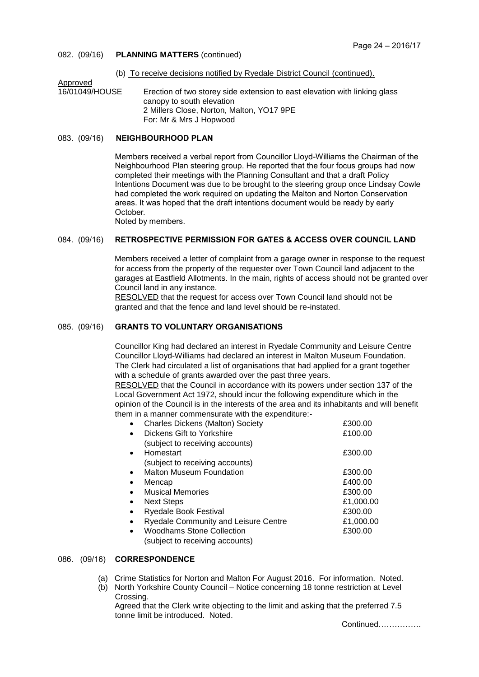# 082. (09/16) **PLANNING MATTERS** (continued)

# (b) To receive decisions notified by Ryedale District Council (continued).

Approved<br>16/01049/HOUSE Erection of two storey side extension to east elevation with linking glass canopy to south elevation 2 Millers Close, Norton, Malton, YO17 9PE For: Mr & Mrs J Hopwood

# 083. (09/16) **NEIGHBOURHOOD PLAN**

Members received a verbal report from Councillor Lloyd-Williams the Chairman of the Neighbourhood Plan steering group. He reported that the four focus groups had now completed their meetings with the Planning Consultant and that a draft Policy Intentions Document was due to be brought to the steering group once Lindsay Cowle had completed the work required on updating the Malton and Norton Conservation areas. It was hoped that the draft intentions document would be ready by early October.

Noted by members.

# 084. (09/16) **RETROSPECTIVE PERMISSION FOR GATES & ACCESS OVER COUNCIL LAND**

Members received a letter of complaint from a garage owner in response to the request for access from the property of the requester over Town Council land adjacent to the garages at Eastfield Allotments. In the main, rights of access should not be granted over Council land in any instance.

RESOLVED that the request for access over Town Council land should not be granted and that the fence and land level should be re-instated.

# 085. (09/16) **GRANTS TO VOLUNTARY ORGANISATIONS**

Councillor King had declared an interest in Ryedale Community and Leisure Centre Councillor Lloyd-Williams had declared an interest in Malton Museum Foundation. The Clerk had circulated a list of organisations that had applied for a grant together with a schedule of grants awarded over the past three years.

RESOLVED that the Council in accordance with its powers under section 137 of the Local Government Act 1972, should incur the following expenditure which in the opinion of the Council is in the interests of the area and its inhabitants and will benefit them in a manner commensurate with the expenditure:-

|           | <b>Charles Dickens (Malton) Society</b>     | £300.00   |
|-----------|---------------------------------------------|-----------|
|           | Dickens Gift to Yorkshire                   | £100.00   |
|           | (subject to receiving accounts)             |           |
|           | Homestart                                   | £300.00   |
|           | (subject to receiving accounts)             |           |
| $\bullet$ | <b>Malton Museum Foundation</b>             | £300.00   |
| $\bullet$ | Mencap                                      | £400.00   |
|           | <b>Musical Memories</b>                     | £300.00   |
| $\bullet$ | <b>Next Steps</b>                           | £1,000.00 |
|           | <b>Ryedale Book Festival</b>                | £300.00   |
|           | <b>Ryedale Community and Leisure Centre</b> | £1,000.00 |
|           | <b>Woodhams Stone Collection</b>            | £300.00   |
|           | (subject to receiving accounts)             |           |

#### 086. (09/16) **CORRESPONDENCE**

- (a) Crime Statistics for Norton and Malton For August 2016. For information. Noted.
- (b) North Yorkshire County Council Notice concerning 18 tonne restriction at Level Crossing.

Agreed that the Clerk write objecting to the limit and asking that the preferred 7.5 tonne limit be introduced. Noted.